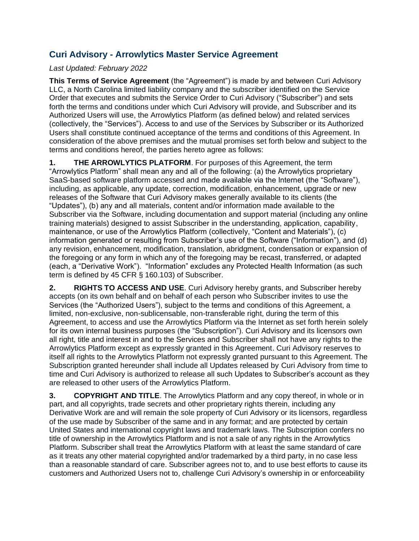## **Curi Advisory - Arrowlytics Master Service Agreement**

## *Last Updated: February 2022*

**This Terms of Service Agreement** (the "Agreement") is made by and between Curi Advisory LLC, a North Carolina limited liability company and the subscriber identified on the Service Order that executes and submits the Service Order to Curi Advisory ("Subscriber") and sets forth the terms and conditions under which Curi Advisory will provide, and Subscriber and its Authorized Users will use, the Arrowlytics Platform (as defined below) and related services (collectively, the "Services"). Access to and use of the Services by Subscriber or its Authorized Users shall constitute continued acceptance of the terms and conditions of this Agreement. In consideration of the above premises and the mutual promises set forth below and subject to the terms and conditions hereof, the parties hereto agree as follows:

**1. THE ARROWLYTICS PLATFORM**. For purposes of this Agreement, the term "Arrowlytics Platform" shall mean any and all of the following: (a) the Arrowlytics proprietary SaaS-based software platform accessed and made available via the Internet (the "Software"), including, as applicable, any update, correction, modification, enhancement, upgrade or new releases of the Software that Curi Advisory makes generally available to its clients (the "Updates"), (b) any and all materials, content and/or information made available to the Subscriber via the Software, including documentation and support material (including any online training materials) designed to assist Subscriber in the understanding, application, capability, maintenance, or use of the Arrowlytics Platform (collectively, "Content and Materials"), (c) information generated or resulting from Subscriber's use of the Software ("Information"), and (d) any revision, enhancement, modification, translation, abridgment, condensation or expansion of the foregoing or any form in which any of the foregoing may be recast, transferred, or adapted (each, a "Derivative Work"). "Information" excludes any Protected Health Information (as such term is defined by 45 CFR § 160.103) of Subscriber.

**2. RIGHTS TO ACCESS AND USE**. Curi Advisory hereby grants, and Subscriber hereby accepts (on its own behalf and on behalf of each person who Subscriber invites to use the Services (the "Authorized Users"), subject to the terms and conditions of this Agreement, a limited, non-exclusive, non-sublicensable, non-transferable right, during the term of this Agreement, to access and use the Arrowlytics Platform via the Internet as set forth herein solely for its own internal business purposes (the "Subscription"). Curi Advisory and its licensors own all right, title and interest in and to the Services and Subscriber shall not have any rights to the Arrowlytics Platform except as expressly granted in this Agreement. Curi Advisory reserves to itself all rights to the Arrowlytics Platform not expressly granted pursuant to this Agreement. The Subscription granted hereunder shall include all Updates released by Curi Advisory from time to time and Curi Advisory is authorized to release all such Updates to Subscriber's account as they are released to other users of the Arrowlytics Platform.

**3. COPYRIGHT AND TITLE**. The Arrowlytics Platform and any copy thereof, in whole or in part, and all copyrights, trade secrets and other proprietary rights therein, including any Derivative Work are and will remain the sole property of Curi Advisory or its licensors, regardless of the use made by Subscriber of the same and in any format; and are protected by certain United States and international copyright laws and trademark laws. The Subscription confers no title of ownership in the Arrowlytics Platform and is not a sale of any rights in the Arrowlytics Platform. Subscriber shall treat the Arrowlytics Platform with at least the same standard of care as it treats any other material copyrighted and/or trademarked by a third party, in no case less than a reasonable standard of care. Subscriber agrees not to, and to use best efforts to cause its customers and Authorized Users not to, challenge Curi Advisory's ownership in or enforceability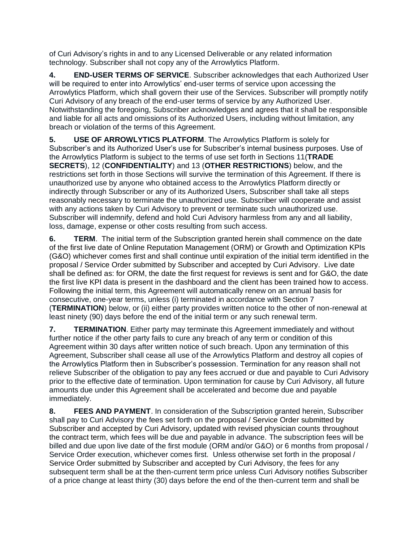of Curi Advisory's rights in and to any Licensed Deliverable or any related information technology. Subscriber shall not copy any of the Arrowlytics Platform.

**4. END-USER TERMS OF SERVICE**. Subscriber acknowledges that each Authorized User will be required to enter into Arrowlytics' end-user terms of service upon accessing the Arrowlytics Platform, which shall govern their use of the Services. Subscriber will promptly notify Curi Advisory of any breach of the end-user terms of service by any Authorized User. Notwithstanding the foregoing, Subscriber acknowledges and agrees that it shall be responsible and liable for all acts and omissions of its Authorized Users, including without limitation, any breach or violation of the terms of this Agreement.

**5. USE OF ARROWLYTICS PLATFORM**. The Arrowlytics Platform is solely for Subscriber's and its Authorized User's use for Subscriber's internal business purposes. Use of the Arrowlytics Platform is subject to the terms of use set forth in Sections 11(**TRADE SECRETS**), 12 (**CONFIDENTIALITY**) and 13 (**OTHER RESTRICTIONS**) below, and the restrictions set forth in those Sections will survive the termination of this Agreement. If there is unauthorized use by anyone who obtained access to the Arrowlytics Platform directly or indirectly through Subscriber or any of its Authorized Users, Subscriber shall take all steps reasonably necessary to terminate the unauthorized use. Subscriber will cooperate and assist with any actions taken by Curi Advisory to prevent or terminate such unauthorized use. Subscriber will indemnify, defend and hold Curi Advisory harmless from any and all liability, loss, damage, expense or other costs resulting from such access.

**6. TERM**. The initial term of the Subscription granted herein shall commence on the date of the first live date of Online Reputation Management (ORM) or Growth and Optimization KPIs (G&O) whichever comes first and shall continue until expiration of the initial term identified in the proposal / Service Order submitted by Subscriber and accepted by Curi Advisory. Live date shall be defined as: for ORM, the date the first request for reviews is sent and for G&O, the date the first live KPI data is present in the dashboard and the client has been trained how to access. Following the initial term, this Agreement will automatically renew on an annual basis for consecutive, one-year terms, unless (i) terminated in accordance with Section 7 (**TERMINATION**) below, or (ii) either party provides written notice to the other of non-renewal at least ninety (90) days before the end of the initial term or any such renewal term.

**7. TERMINATION**. Either party may terminate this Agreement immediately and without further notice if the other party fails to cure any breach of any term or condition of this Agreement within 30 days after written notice of such breach. Upon any termination of this Agreement, Subscriber shall cease all use of the Arrowlytics Platform and destroy all copies of the Arrowlytics Platform then in Subscriber's possession. Termination for any reason shall not relieve Subscriber of the obligation to pay any fees accrued or due and payable to Curi Advisory prior to the effective date of termination. Upon termination for cause by Curi Advisory, all future amounts due under this Agreement shall be accelerated and become due and payable immediately.

**8. FEES AND PAYMENT**. In consideration of the Subscription granted herein, Subscriber shall pay to Curi Advisory the fees set forth on the proposal / Service Order submitted by Subscriber and accepted by Curi Advisory, updated with revised physician counts throughout the contract term, which fees will be due and payable in advance. The subscription fees will be billed and due upon live date of the first module (ORM and/or G&O) or 6 months from proposal / Service Order execution, whichever comes first. Unless otherwise set forth in the proposal / Service Order submitted by Subscriber and accepted by Curi Advisory, the fees for any subsequent term shall be at the then-current term price unless Curi Advisory notifies Subscriber of a price change at least thirty (30) days before the end of the then-current term and shall be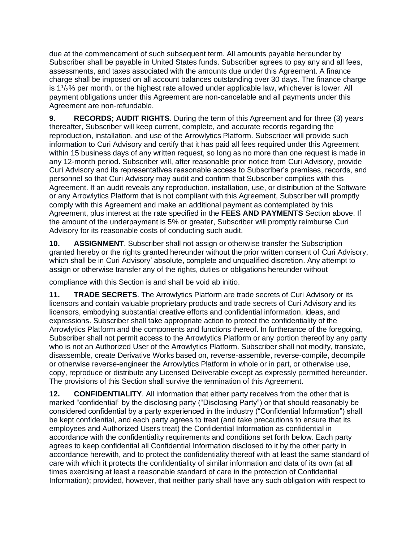due at the commencement of such subsequent term. All amounts payable hereunder by Subscriber shall be payable in United States funds. Subscriber agrees to pay any and all fees, assessments, and taxes associated with the amounts due under this Agreement. A finance charge shall be imposed on all account balances outstanding over 30 days. The finance charge is  $1\frac{1}{2}$ % per month, or the highest rate allowed under applicable law, whichever is lower. All payment obligations under this Agreement are non-cancelable and all payments under this Agreement are non-refundable.

**9. RECORDS; AUDIT RIGHTS**. During the term of this Agreement and for three (3) years thereafter, Subscriber will keep current, complete, and accurate records regarding the reproduction, installation, and use of the Arrowlytics Platform. Subscriber will provide such information to Curi Advisory and certify that it has paid all fees required under this Agreement within 15 business days of any written request, so long as no more than one request is made in any 12-month period. Subscriber will, after reasonable prior notice from Curi Advisory, provide Curi Advisory and its representatives reasonable access to Subscriber's premises, records, and personnel so that Curi Advisory may audit and confirm that Subscriber complies with this Agreement. If an audit reveals any reproduction, installation, use, or distribution of the Software or any Arrowlytics Platform that is not compliant with this Agreement, Subscriber will promptly comply with this Agreement and make an additional payment as contemplated by this Agreement, plus interest at the rate specified in the **FEES AND PAYMENTS** Section above. If the amount of the underpayment is 5% or greater, Subscriber will promptly reimburse Curi Advisory for its reasonable costs of conducting such audit.

**10. ASSIGNMENT**. Subscriber shall not assign or otherwise transfer the Subscription granted hereby or the rights granted hereunder without the prior written consent of Curi Advisory, which shall be in Curi Advisory' absolute, complete and unqualified discretion. Any attempt to assign or otherwise transfer any of the rights, duties or obligations hereunder without

compliance with this Section is and shall be void ab initio.

**11. TRADE SECRETS**. The Arrowlytics Platform are trade secrets of Curi Advisory or its licensors and contain valuable proprietary products and trade secrets of Curi Advisory and its licensors, embodying substantial creative efforts and confidential information, ideas, and expressions. Subscriber shall take appropriate action to protect the confidentiality of the Arrowlytics Platform and the components and functions thereof. In furtherance of the foregoing, Subscriber shall not permit access to the Arrowlytics Platform or any portion thereof by any party who is not an Authorized User of the Arrowlytics Platform. Subscriber shall not modify, translate, disassemble, create Derivative Works based on, reverse-assemble, reverse-compile, decompile or otherwise reverse-engineer the Arrowlytics Platform in whole or in part, or otherwise use, copy, reproduce or distribute any Licensed Deliverable except as expressly permitted hereunder. The provisions of this Section shall survive the termination of this Agreement.

**12. CONFIDENTIALITY**. All information that either party receives from the other that is marked "confidential" by the disclosing party ("Disclosing Party") or that should reasonably be considered confidential by a party experienced in the industry ("Confidential Information") shall be kept confidential, and each party agrees to treat (and take precautions to ensure that its employees and Authorized Users treat) the Confidential Information as confidential in accordance with the confidentiality requirements and conditions set forth below. Each party agrees to keep confidential all Confidential Information disclosed to it by the other party in accordance herewith, and to protect the confidentiality thereof with at least the same standard of care with which it protects the confidentiality of similar information and data of its own (at all times exercising at least a reasonable standard of care in the protection of Confidential Information); provided, however, that neither party shall have any such obligation with respect to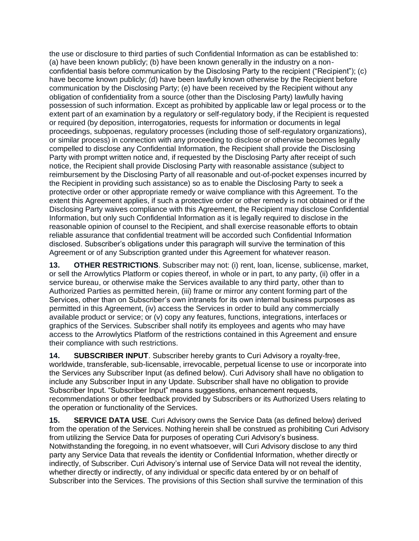the use or disclosure to third parties of such Confidential Information as can be established to: (a) have been known publicly; (b) have been known generally in the industry on a nonconfidential basis before communication by the Disclosing Party to the recipient ("Recipient"); (c) have become known publicly; (d) have been lawfully known otherwise by the Recipient before communication by the Disclosing Party; (e) have been received by the Recipient without any obligation of confidentiality from a source (other than the Disclosing Party) lawfully having possession of such information. Except as prohibited by applicable law or legal process or to the extent part of an examination by a regulatory or self-regulatory body, if the Recipient is requested or required (by deposition, interrogatories, requests for information or documents in legal proceedings, subpoenas, regulatory processes (including those of self-regulatory organizations), or similar process) in connection with any proceeding to disclose or otherwise becomes legally compelled to disclose any Confidential Information, the Recipient shall provide the Disclosing Party with prompt written notice and, if requested by the Disclosing Party after receipt of such notice, the Recipient shall provide Disclosing Party with reasonable assistance (subject to reimbursement by the Disclosing Party of all reasonable and out-of-pocket expenses incurred by the Recipient in providing such assistance) so as to enable the Disclosing Party to seek a protective order or other appropriate remedy or waive compliance with this Agreement. To the extent this Agreement applies, if such a protective order or other remedy is not obtained or if the Disclosing Party waives compliance with this Agreement, the Recipient may disclose Confidential Information, but only such Confidential Information as it is legally required to disclose in the reasonable opinion of counsel to the Recipient, and shall exercise reasonable efforts to obtain reliable assurance that confidential treatment will be accorded such Confidential Information disclosed. Subscriber's obligations under this paragraph will survive the termination of this Agreement or of any Subscription granted under this Agreement for whatever reason.

**13. OTHER RESTRICTIONS**. Subscriber may not: (i) rent, loan, license, sublicense, market, or sell the Arrowlytics Platform or copies thereof, in whole or in part, to any party, (ii) offer in a service bureau, or otherwise make the Services available to any third party, other than to Authorized Parties as permitted herein, (iii) frame or mirror any content forming part of the Services, other than on Subscriber's own intranets for its own internal business purposes as permitted in this Agreement, (iv) access the Services in order to build any commercially available product or service; or (v) copy any features, functions, integrations, interfaces or graphics of the Services. Subscriber shall notify its employees and agents who may have access to the Arrowlytics Platform of the restrictions contained in this Agreement and ensure their compliance with such restrictions.

**14. SUBSCRIBER INPUT**. Subscriber hereby grants to Curi Advisory a royalty-free, worldwide, transferable, sub-licensable, irrevocable, perpetual license to use or incorporate into the Services any Subscriber Input (as defined below). Curi Advisory shall have no obligation to include any Subscriber Input in any Update. Subscriber shall have no obligation to provide Subscriber Input. "Subscriber Input" means suggestions, enhancement requests, recommendations or other feedback provided by Subscribers or its Authorized Users relating to the operation or functionality of the Services.

**15. SERVICE DATA USE**. Curi Advisory owns the Service Data (as defined below) derived from the operation of the Services. Nothing herein shall be construed as prohibiting Curi Advisory from utilizing the Service Data for purposes of operating Curi Advisory's business. Notwithstanding the foregoing, in no event whatsoever, will Curi Advisory disclose to any third party any Service Data that reveals the identity or Confidential Information, whether directly or indirectly, of Subscriber. Curi Advisory's internal use of Service Data will not reveal the identity, whether directly or indirectly, of any individual or specific data entered by or on behalf of Subscriber into the Services. The provisions of this Section shall survive the termination of this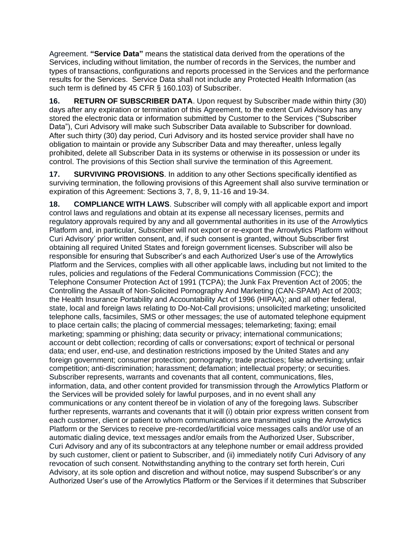Agreement. **"Service Data"** means the statistical data derived from the operations of the Services, including without limitation, the number of records in the Services, the number and types of transactions, configurations and reports processed in the Services and the performance results for the Services. Service Data shall not include any Protected Health Information (as such term is defined by 45 CFR § 160.103) of Subscriber.

**16. RETURN OF SUBSCRIBER DATA**. Upon request by Subscriber made within thirty (30) days after any expiration or termination of this Agreement, to the extent Curi Advisory has any stored the electronic data or information submitted by Customer to the Services ("Subscriber Data"), Curi Advisory will make such Subscriber Data available to Subscriber for download. After such thirty (30) day period, Curi Advisory and its hosted service provider shall have no obligation to maintain or provide any Subscriber Data and may thereafter, unless legally prohibited, delete all Subscriber Data in its systems or otherwise in its possession or under its control. The provisions of this Section shall survive the termination of this Agreement.

**17. SURVIVING PROVISIONS**. In addition to any other Sections specifically identified as surviving termination, the following provisions of this Agreement shall also survive termination or expiration of this Agreement: Sections 3, 7, 8, 9, 11-16 and 19-34.

**18. COMPLIANCE WITH LAWS**. Subscriber will comply with all applicable export and import control laws and regulations and obtain at its expense all necessary licenses, permits and regulatory approvals required by any and all governmental authorities in its use of the Arrowlytics Platform and, in particular, Subscriber will not export or re-export the Arrowlytics Platform without Curi Advisory' prior written consent, and, if such consent is granted, without Subscriber first obtaining all required United States and foreign government licenses. Subscriber will also be responsible for ensuring that Subscriber's and each Authorized User's use of the Arrowlytics Platform and the Services, complies with all other applicable laws, including but not limited to the rules, policies and regulations of the Federal Communications Commission (FCC); the Telephone Consumer Protection Act of 1991 (TCPA); the Junk Fax Prevention Act of 2005; the Controlling the Assault of Non-Solicited Pornography And Marketing (CAN-SPAM) Act of 2003; the Health Insurance Portability and Accountability Act of 1996 (HIPAA); and all other federal, state, local and foreign laws relating to Do-Not-Call provisions; unsolicited marketing; unsolicited telephone calls, facsimiles, SMS or other messages; the use of automated telephone equipment to place certain calls; the placing of commercial messages; telemarketing; faxing; email marketing; spamming or phishing; data security or privacy; international communications; account or debt collection; recording of calls or conversations; export of technical or personal data; end user, end-use, and destination restrictions imposed by the United States and any foreign government; consumer protection; pornography; trade practices; false advertising; unfair competition; anti-discrimination; harassment; defamation; intellectual property; or securities. Subscriber represents, warrants and covenants that all content, communications, files, information, data, and other content provided for transmission through the Arrowlytics Platform or the Services will be provided solely for lawful purposes, and in no event shall any communications or any content thereof be in violation of any of the foregoing laws. Subscriber further represents, warrants and covenants that it will (i) obtain prior express written consent from each customer, client or patient to whom communications are transmitted using the Arrowlytics Platform or the Services to receive pre-recorded/artificial voice messages calls and/or use of an automatic dialing device, text messages and/or emails from the Authorized User, Subscriber, Curi Advisory and any of its subcontractors at any telephone number or email address provided by such customer, client or patient to Subscriber, and (ii) immediately notify Curi Advisory of any revocation of such consent. Notwithstanding anything to the contrary set forth herein, Curi Advisory, at its sole option and discretion and without notice, may suspend Subscriber's or any Authorized User's use of the Arrowlytics Platform or the Services if it determines that Subscriber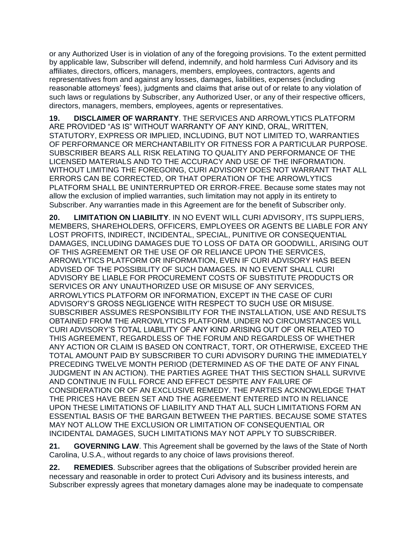or any Authorized User is in violation of any of the foregoing provisions. To the extent permitted by applicable law, Subscriber will defend, indemnify, and hold harmless Curi Advisory and its affiliates, directors, officers, managers, members, employees, contractors, agents and representatives from and against any losses, damages, liabilities, expenses (including reasonable attorneys' fees), judgments and claims that arise out of or relate to any violation of such laws or regulations by Subscriber, any Authorized User, or any of their respective officers, directors, managers, members, employees, agents or representatives.

**19. DISCLAIMER OF WARRANTY**. THE SERVICES AND ARROWLYTICS PLATFORM ARE PROVIDED "AS IS" WITHOUT WARRANTY OF ANY KIND, ORAL, WRITTEN, STATUTORY, EXPRESS OR IMPLIED, INCLUDING, BUT NOT LIMITED TO, WARRANTIES OF PERFORMANCE OR MERCHANTABILITY OR FITNESS FOR A PARTICULAR PURPOSE. SUBSCRIBER BEARS ALL RISK RELATING TO QUALITY AND PERFORMANCE OF THE LICENSED MATERIALS AND TO THE ACCURACY AND USE OF THE INFORMATION. WITHOUT LIMITING THE FOREGOING, CURI ADVISORY DOES NOT WARRANT THAT ALL ERRORS CAN BE CORRECTED, OR THAT OPERATION OF THE ARROWLYTICS PLATFORM SHALL BE UNINTERRUPTED OR ERROR-FREE. Because some states may not allow the exclusion of implied warranties, such limitation may not apply in its entirety to Subscriber. Any warranties made in this Agreement are for the benefit of Subscriber only.

**20. LIMITATION ON LIABILITY**. IN NO EVENT WILL CURI ADVISORY, ITS SUPPLIERS, MEMBERS, SHAREHOLDERS, OFFICERS, EMPLOYEES OR AGENTS BE LIABLE FOR ANY LOST PROFITS, INDIRECT, INCIDENTAL, SPECIAL, PUNITIVE OR CONSEQUENTIAL DAMAGES, INCLUDING DAMAGES DUE TO LOSS OF DATA OR GOODWILL, ARISING OUT OF THIS AGREEMENT OR THE USE OF OR RELIANCE UPON THE SERVICES, ARROWLYTICS PLATFORM OR INFORMATION, EVEN IF CURI ADVISORY HAS BEEN ADVISED OF THE POSSIBILITY OF SUCH DAMAGES. IN NO EVENT SHALL CURI ADVISORY BE LIABLE FOR PROCUREMENT COSTS OF SUBSTITUTE PRODUCTS OR SERVICES OR ANY UNAUTHORIZED USE OR MISUSE OF ANY SERVICES, ARROWLYTICS PLATFORM OR INFORMATION, EXCEPT IN THE CASE OF CURI ADVISORY'S GROSS NEGLIGENCE WITH RESPECT TO SUCH USE OR MISUSE. SUBSCRIBER ASSUMES RESPONSIBILITY FOR THE INSTALLATION, USE AND RESULTS OBTAINED FROM THE ARROWLYTICS PLATFORM. UNDER NO CIRCUMSTANCES WILL CURI ADVISORY'S TOTAL LIABILITY OF ANY KIND ARISING OUT OF OR RELATED TO THIS AGREEMENT, REGARDLESS OF THE FORUM AND REGARDLESS OF WHETHER ANY ACTION OR CLAIM IS BASED ON CONTRACT, TORT, OR OTHERWISE, EXCEED THE TOTAL AMOUNT PAID BY SUBSCRIBER TO CURI ADVISORY DURING THE IMMEDIATELY PRECEDING TWELVE MONTH PERIOD (DETERMINED AS OF THE DATE OF ANY FINAL JUDGMENT IN AN ACTION). THE PARTIES AGREE THAT THIS SECTION SHALL SURVIVE AND CONTINUE IN FULL FORCE AND EFFECT DESPITE ANY FAILURE OF CONSIDERATION OR OF AN EXCLUSIVE REMEDY. THE PARTIES ACKNOWLEDGE THAT THE PRICES HAVE BEEN SET AND THE AGREEMENT ENTERED INTO IN RELIANCE UPON THESE LIMITATIONS OF LIABILITY AND THAT ALL SUCH LIMITATIONS FORM AN ESSENTIAL BASIS OF THE BARGAIN BETWEEN THE PARTIES. BECAUSE SOME STATES MAY NOT ALLOW THE EXCLUSION OR LIMITATION OF CONSEQUENTIAL OR INCIDENTAL DAMAGES, SUCH LIMITATIONS MAY NOT APPLY TO SUBSCRIBER.

**21. GOVERNING LAW**. This Agreement shall be governed by the laws of the State of North Carolina, U.S.A., without regards to any choice of laws provisions thereof.

**22. REMEDIES**. Subscriber agrees that the obligations of Subscriber provided herein are necessary and reasonable in order to protect Curi Advisory and its business interests, and Subscriber expressly agrees that monetary damages alone may be inadequate to compensate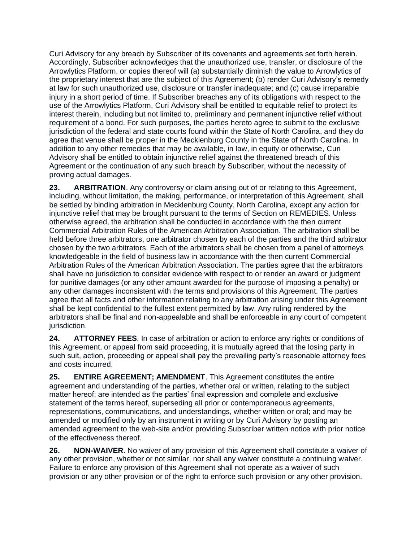Curi Advisory for any breach by Subscriber of its covenants and agreements set forth herein. Accordingly, Subscriber acknowledges that the unauthorized use, transfer, or disclosure of the Arrowlytics Platform, or copies thereof will (a) substantially diminish the value to Arrowlytics of the proprietary interest that are the subject of this Agreement; (b) render Curi Advisory's remedy at law for such unauthorized use, disclosure or transfer inadequate; and (c) cause irreparable injury in a short period of time. If Subscriber breaches any of its obligations with respect to the use of the Arrowlytics Platform, Curi Advisory shall be entitled to equitable relief to protect its interest therein, including but not limited to, preliminary and permanent injunctive relief without requirement of a bond. For such purposes, the parties hereto agree to submit to the exclusive jurisdiction of the federal and state courts found within the State of North Carolina, and they do agree that venue shall be proper in the Mecklenburg County in the State of North Carolina. In addition to any other remedies that may be available, in law, in equity or otherwise, Curi Advisory shall be entitled to obtain injunctive relief against the threatened breach of this Agreement or the continuation of any such breach by Subscriber, without the necessity of proving actual damages.

**23. ARBITRATION**. Any controversy or claim arising out of or relating to this Agreement, including, without limitation, the making, performance, or interpretation of this Agreement, shall be settled by binding arbitration in Mecklenburg County, North Carolina, except any action for injunctive relief that may be brought pursuant to the terms of Section on REMEDIES. Unless otherwise agreed, the arbitration shall be conducted in accordance with the then current Commercial Arbitration Rules of the American Arbitration Association. The arbitration shall be held before three arbitrators, one arbitrator chosen by each of the parties and the third arbitrator chosen by the two arbitrators. Each of the arbitrators shall be chosen from a panel of attorneys knowledgeable in the field of business law in accordance with the then current Commercial Arbitration Rules of the American Arbitration Association. The parties agree that the arbitrators shall have no jurisdiction to consider evidence with respect to or render an award or judgment for punitive damages (or any other amount awarded for the purpose of imposing a penalty) or any other damages inconsistent with the terms and provisions of this Agreement. The parties agree that all facts and other information relating to any arbitration arising under this Agreement shall be kept confidential to the fullest extent permitted by law. Any ruling rendered by the arbitrators shall be final and non-appealable and shall be enforceable in any court of competent jurisdiction.

**24. ATTORNEY FEES**. In case of arbitration or action to enforce any rights or conditions of this Agreement, or appeal from said proceeding, it is mutually agreed that the losing party in such suit, action, proceeding or appeal shall pay the prevailing party's reasonable attorney fees and costs incurred.

**25. ENTIRE AGREEMENT; AMENDMENT**. This Agreement constitutes the entire agreement and understanding of the parties, whether oral or written, relating to the subject matter hereof; are intended as the parties' final expression and complete and exclusive statement of the terms hereof, superseding all prior or contemporaneous agreements, representations, communications, and understandings, whether written or oral; and may be amended or modified only by an instrument in writing or by Curi Advisory by posting an amended agreement to the web-site and/or providing Subscriber written notice with prior notice of the effectiveness thereof.

**26. NON-WAIVER**. No waiver of any provision of this Agreement shall constitute a waiver of any other provision, whether or not similar, nor shall any waiver constitute a continuing waiver. Failure to enforce any provision of this Agreement shall not operate as a waiver of such provision or any other provision or of the right to enforce such provision or any other provision.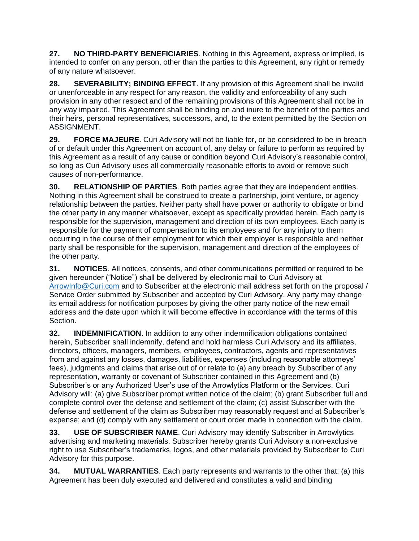**27. NO THIRD-PARTY BENEFICIARIES**. Nothing in this Agreement, express or implied, is intended to confer on any person, other than the parties to this Agreement, any right or remedy of any nature whatsoever.

**28. SEVERABILITY; BINDING EFFECT**. If any provision of this Agreement shall be invalid or unenforceable in any respect for any reason, the validity and enforceability of any such provision in any other respect and of the remaining provisions of this Agreement shall not be in any way impaired. This Agreement shall be binding on and inure to the benefit of the parties and their heirs, personal representatives, successors, and, to the extent permitted by the Section on ASSIGNMENT.

**29. FORCE MAJEURE**. Curi Advisory will not be liable for, or be considered to be in breach of or default under this Agreement on account of, any delay or failure to perform as required by this Agreement as a result of any cause or condition beyond Curi Advisory's reasonable control, so long as Curi Advisory uses all commercially reasonable efforts to avoid or remove such causes of non-performance.

**30. RELATIONSHIP OF PARTIES**. Both parties agree that they are independent entities. Nothing in this Agreement shall be construed to create a partnership, joint venture, or agency relationship between the parties. Neither party shall have power or authority to obligate or bind the other party in any manner whatsoever, except as specifically provided herein. Each party is responsible for the supervision, management and direction of its own employees. Each party is responsible for the payment of compensation to its employees and for any injury to them occurring in the course of their employment for which their employer is responsible and neither party shall be responsible for the supervision, management and direction of the employees of the other party.

**31. NOTICES**. All notices, consents, and other communications permitted or required to be given hereunder ("Notice") shall be delivered by electronic mail to Curi Advisory at [ArrowInfo@Curi.com](mailto:%20ArrowInfo@Curi.com) and to Subscriber at the electronic mail address set forth on the proposal / Service Order submitted by Subscriber and accepted by Curi Advisory. Any party may change its email address for notification purposes by giving the other party notice of the new email address and the date upon which it will become effective in accordance with the terms of this Section.

**32. INDEMNIFICATION**. In addition to any other indemnification obligations contained herein, Subscriber shall indemnify, defend and hold harmless Curi Advisory and its affiliates, directors, officers, managers, members, employees, contractors, agents and representatives from and against any losses, damages, liabilities, expenses (including reasonable attorneys' fees), judgments and claims that arise out of or relate to (a) any breach by Subscriber of any representation, warranty or covenant of Subscriber contained in this Agreement and (b) Subscriber's or any Authorized User's use of the Arrowlytics Platform or the Services. Curi Advisory will: (a) give Subscriber prompt written notice of the claim; (b) grant Subscriber full and complete control over the defense and settlement of the claim; (c) assist Subscriber with the defense and settlement of the claim as Subscriber may reasonably request and at Subscriber's expense; and (d) comply with any settlement or court order made in connection with the claim.

**33. USE OF SUBSCRIBER NAME**. Curi Advisory may identify Subscriber in Arrowlytics advertising and marketing materials. Subscriber hereby grants Curi Advisory a non-exclusive right to use Subscriber's trademarks, logos, and other materials provided by Subscriber to Curi Advisory for this purpose.

**34. MUTUAL WARRANTIES**. Each party represents and warrants to the other that: (a) this Agreement has been duly executed and delivered and constitutes a valid and binding